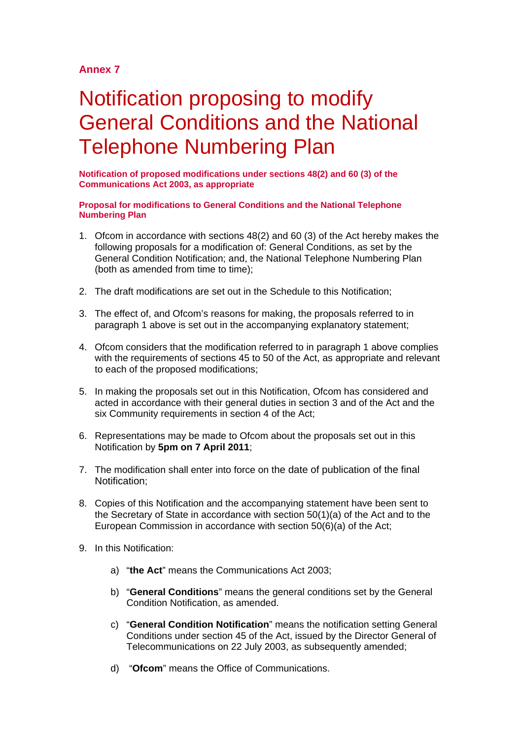# **Annex 7**

# Notification proposing to modify General Conditions and the National Telephone Numbering Plan

**Notification of proposed modifications under sections 48(2) and 60 (3) of the Communications Act 2003, as appropriate**

#### **Proposal for modifications to General Conditions and the National Telephone Numbering Plan**

- 1. Ofcom in accordance with sections 48(2) and 60 (3) of the Act hereby makes the following proposals for a modification of: General Conditions, as set by the General Condition Notification; and, the National Telephone Numbering Plan (both as amended from time to time);
- 2. The draft modifications are set out in the Schedule to this Notification;
- 3. The effect of, and Ofcom's reasons for making, the proposals referred to in paragraph 1 above is set out in the accompanying explanatory statement;
- 4. Ofcom considers that the modification referred to in paragraph 1 above complies with the requirements of sections 45 to 50 of the Act, as appropriate and relevant to each of the proposed modifications;
- 5. In making the proposals set out in this Notification, Ofcom has considered and acted in accordance with their general duties in section 3 and of the Act and the six Community requirements in section 4 of the Act;
- 6. Representations may be made to Ofcom about the proposals set out in this Notification by **5pm on 7 April 2011**;
- 7. The modification shall enter into force on the date of publication of the final Notification;
- 8. Copies of this Notification and the accompanying statement have been sent to the Secretary of State in accordance with section 50(1)(a) of the Act and to the European Commission in accordance with section 50(6)(a) of the Act;
- 9. In this Notification:
	- a) "**the Act**" means the Communications Act 2003;
	- b) "**General Conditions**" means the general conditions set by the General Condition Notification, as amended.
	- c) "**General Condition Notification**" means the notification setting General Conditions under section 45 of the Act, issued by the Director General of Telecommunications on 22 July 2003, as subsequently amended;
	- d) "**Ofcom**" means the Office of Communications.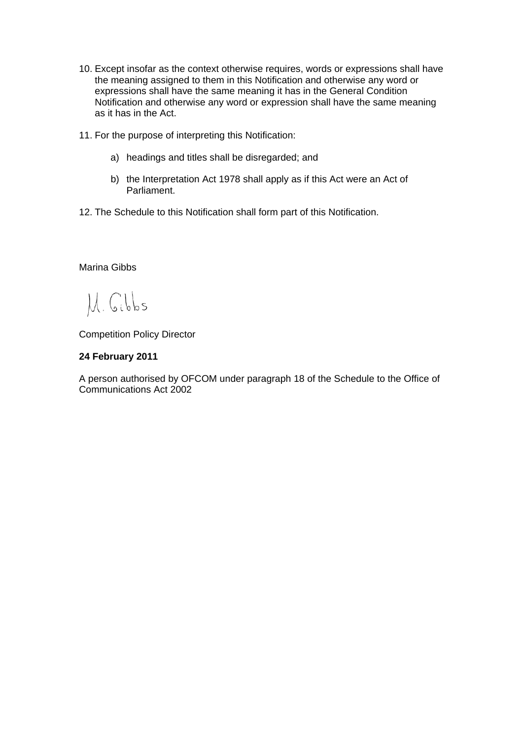- 10. Except insofar as the context otherwise requires, words or expressions shall have the meaning assigned to them in this Notification and otherwise any word or expressions shall have the same meaning it has in the General Condition Notification and otherwise any word or expression shall have the same meaning as it has in the Act.
- 11. For the purpose of interpreting this Notification:
	- a) headings and titles shall be disregarded; and
	- b) the Interpretation Act 1978 shall apply as if this Act were an Act of Parliament.
- 12. The Schedule to this Notification shall form part of this Notification.

# Marina Gibbs

M. Gibbs

Competition Policy Director

# **24 February 2011**

A person authorised by OFCOM under paragraph 18 of the Schedule to the Office of Communications Act 2002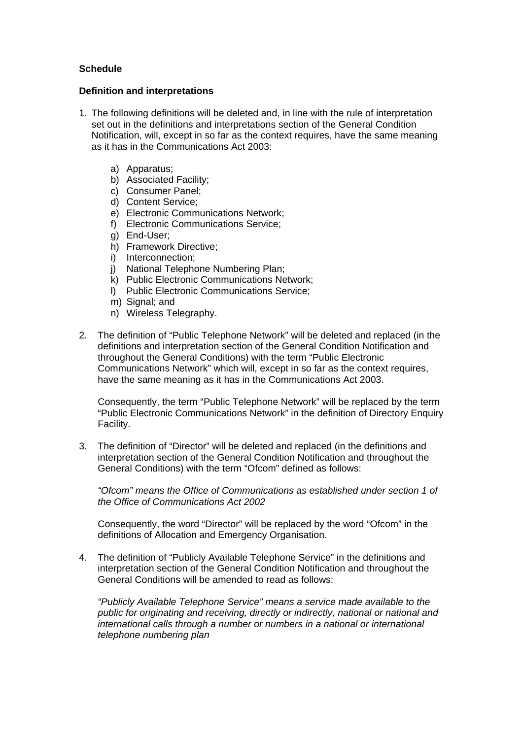# **Schedule**

#### **Definition and interpretations**

- 1. The following definitions will be deleted and, in line with the rule of interpretation set out in the definitions and interpretations section of the General Condition Notification, will, except in so far as the context requires, have the same meaning as it has in the Communications Act 2003:
	- a) Apparatus;
	- b) Associated Facility;
	- c) Consumer Panel;
	- d) Content Service;
	- e) Electronic Communications Network;
	- f) Electronic Communications Service;
	- g) End-User;
	- h) Framework Directive;
	- i) Interconnection;
	- j) National Telephone Numbering Plan;
	- k) Public Electronic Communications Network;
	- l) Public Electronic Communications Service;
	- m) Signal; and
	- n) Wireless Telegraphy.
- 2. The definition of "Public Telephone Network" will be deleted and replaced (in the definitions and interpretation section of the General Condition Notification and throughout the General Conditions) with the term "Public Electronic Communications Network" which will, except in so far as the context requires, have the same meaning as it has in the Communications Act 2003.

Consequently, the term "Public Telephone Network" will be replaced by the term "Public Electronic Communications Network" in the definition of Directory Enquiry Facility.

3. The definition of "Director" will be deleted and replaced (in the definitions and interpretation section of the General Condition Notification and throughout the General Conditions) with the term "Ofcom" defined as follows:

*"Ofcom" means the Office of Communications as established under section 1 of the Office of Communications Act 2002*

Consequently, the word "Director" will be replaced by the word "Ofcom" in the definitions of Allocation and Emergency Organisation.

4. The definition of "Publicly Available Telephone Service" in the definitions and interpretation section of the General Condition Notification and throughout the General Conditions will be amended to read as follows:

*"Publicly Available Telephone Service" means a service made available to the public for originating and receiving, directly or indirectly, national or national and international calls through a number or numbers in a national or international telephone numbering plan*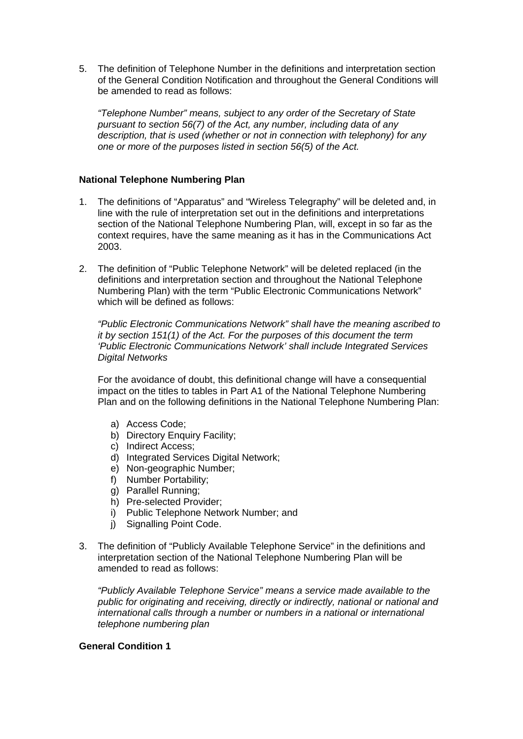5. The definition of Telephone Number in the definitions and interpretation section of the General Condition Notification and throughout the General Conditions will be amended to read as follows:

*"Telephone Number" means, subject to any order of the Secretary of State pursuant to section 56(7) of the Act, any number, including data of any description, that is used (whether or not in connection with telephony) for any one or more of the purposes listed in section 56(5) of the Act.*

# **National Telephone Numbering Plan**

- 1. The definitions of "Apparatus" and "Wireless Telegraphy" will be deleted and, in line with the rule of interpretation set out in the definitions and interpretations section of the National Telephone Numbering Plan, will, except in so far as the context requires, have the same meaning as it has in the Communications Act 2003.
- 2. The definition of "Public Telephone Network" will be deleted replaced (in the definitions and interpretation section and throughout the National Telephone Numbering Plan) with the term "Public Electronic Communications Network" which will be defined as follows:

*"Public Electronic Communications Network" shall have the meaning ascribed to it by section 151(1) of the Act. For the purposes of this document the term 'Public Electronic Communications Network' shall include Integrated Services Digital Networks*

For the avoidance of doubt, this definitional change will have a consequential impact on the titles to tables in Part A1 of the National Telephone Numbering Plan and on the following definitions in the National Telephone Numbering Plan:

- a) Access Code;
- b) Directory Enquiry Facility;
- c) Indirect Access;
- d) Integrated Services Digital Network;
- e) Non-geographic Number;
- f) Number Portability;
- g) Parallel Running;
- h) Pre-selected Provider;
- i) Public Telephone Network Number; and
- i) Signalling Point Code.
- 3. The definition of "Publicly Available Telephone Service" in the definitions and interpretation section of the National Telephone Numbering Plan will be amended to read as follows:

*"Publicly Available Telephone Service" means a service made available to the public for originating and receiving, directly or indirectly, national or national and international calls through a number or numbers in a national or international telephone numbering plan*

#### **General Condition 1**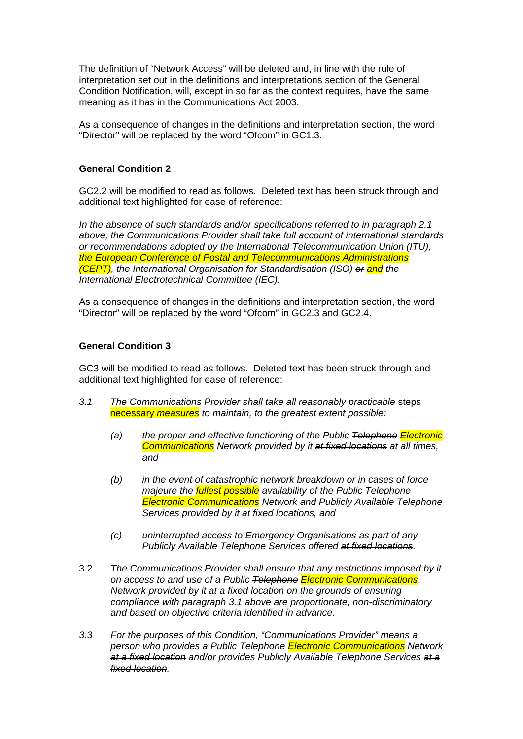The definition of "Network Access" will be deleted and, in line with the rule of interpretation set out in the definitions and interpretations section of the General Condition Notification, will, except in so far as the context requires, have the same meaning as it has in the Communications Act 2003.

As a consequence of changes in the definitions and interpretation section, the word "Director" will be replaced by the word "Ofcom" in GC1.3.

#### **General Condition 2**

GC2.2 will be modified to read as follows. Deleted text has been struck through and additional text highlighted for ease of reference:

*In the absence of such standards and/or specifications referred to in paragraph 2.1 above, the Communications Provider shall take full account of international standards or recommendations adopted by the International Telecommunication Union (ITU), the European Conference of Postal and Telecommunications Administrations (CEPT), the International Organisation for Standardisation (ISO) or and the International Electrotechnical Committee (IEC).*

As a consequence of changes in the definitions and interpretation section, the word "Director" will be replaced by the word "Ofcom" in GC2.3 and GC2.4.

### **General Condition 3**

GC3 will be modified to read as follows. Deleted text has been struck through and additional text highlighted for ease of reference:

- *3.1 The Communications Provider shall take all reasonably practicable* steps necessary *measures to maintain, to the greatest extent possible:*
	- *(a) the proper and effective functioning of the Public Telephone Electronic Communications Network provided by it at fixed locations at all times, and*
	- *(b) in the event of catastrophic network breakdown or in cases of force majeure the fullest possible availability of the Public Telephone Electronic Communications Network and Publicly Available Telephone Services provided by it at fixed locations, and*
	- *(c) uninterrupted access to Emergency Organisations as part of any Publicly Available Telephone Services offered at fixed locations.*
- 3.2 *The Communications Provider shall ensure that any restrictions imposed by it on access to and use of a Public Telephone Electronic Communications Network provided by it at a fixed location on the grounds of ensuring compliance with paragraph 3.1 above are proportionate, non-discriminatory and based on objective criteria identified in advance.*
- *3.3 For the purposes of this Condition, "Communications Provider" means a person who provides a Public Telephone Electronic Communications Network at a fixed location and/or provides Publicly Available Telephone Services at a fixed location.*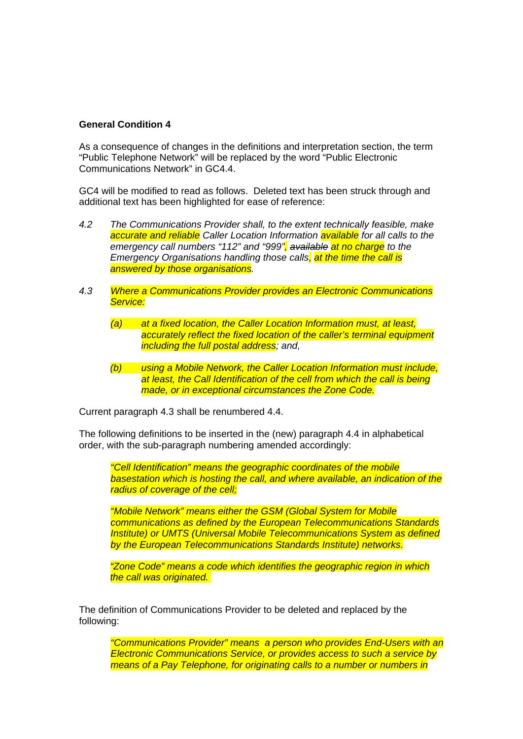# **General Condition 4**

As a consequence of changes in the definitions and interpretation section, the term "Public Telephone Network" will be replaced by the word "Public Electronic Communications Network" in GC4.4.

GC4 will be modified to read as follows. Deleted text has been struck through and additional text has been highlighted for ease of reference:

- *4.2 The Communications Provider shall, to the extent technically feasible, make accurate and reliable Caller Location Information available for all calls to the emergency call numbers "112" and "999", available at no charge to the Emergency Organisations handling those calls, at the time the call is answered by those organisations.*
- *4.3 Where a Communications Provider provides an Electronic Communications Service:*
	- *(a) at a fixed location, the Caller Location Information must, at least, accurately reflect the fixed location of the caller's terminal equipment including the full postal address; and,*
	- *(b) using a Mobile Network, the Caller Location Information must include, at least, the Call Identification of the cell from which the call is being made, or in exceptional circumstances the Zone Code.*

Current paragraph 4.3 shall be renumbered 4.4.

The following definitions to be inserted in the (new) paragraph 4.4 in alphabetical order, with the sub-paragraph numbering amended accordingly:

*"Cell Identification" means the geographic coordinates of the mobile basestation which is hosting the call, and where available, an indication of the radius of coverage of the cell;*

*"Mobile Network" means either the GSM (Global System for Mobile communications as defined by the European Telecommunications Standards Institute) or UMTS (Universal Mobile Telecommunications System as defined by the European Telecommunications Standards Institute) networks.*

*"Zone Code" means a code which identifies the geographic region in which the call was originated.* 

The definition of Communications Provider to be deleted and replaced by the following:

*"Communications Provider" means a person who provides End-Users with an Electronic Communications Service, or provides access to such a service by means of a Pay Telephone, for originating calls to a number or numbers in*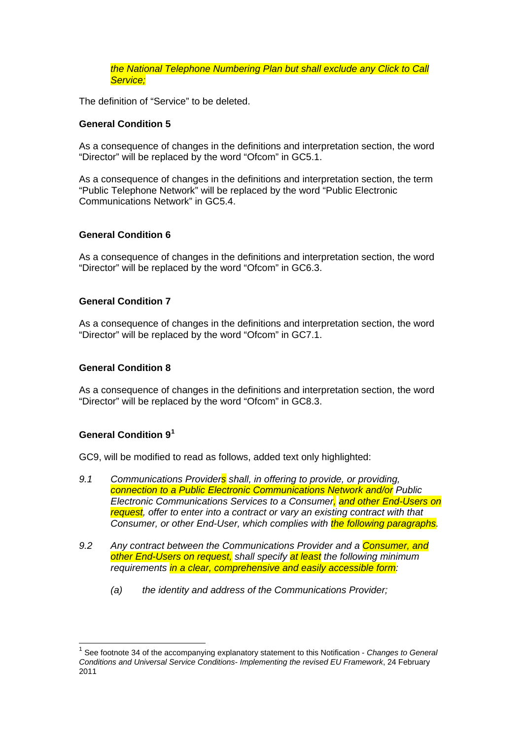*the National Telephone Numbering Plan but shall exclude any Click to Call Service;*

The definition of "Service" to be deleted.

#### **General Condition 5**

As a consequence of changes in the definitions and interpretation section, the word "Director" will be replaced by the word "Ofcom" in GC5.1.

As a consequence of changes in the definitions and interpretation section, the term "Public Telephone Network" will be replaced by the word "Public Electronic Communications Network" in GC5.4.

#### **General Condition 6**

As a consequence of changes in the definitions and interpretation section, the word "Director" will be replaced by the word "Ofcom" in GC6.3.

#### **General Condition 7**

As a consequence of changes in the definitions and interpretation section, the word "Director" will be replaced by the word "Ofcom" in GC7.1.

#### **General Condition 8**

As a consequence of changes in the definitions and interpretation section, the word "Director" will be replaced by the word "Ofcom" in GC8.3.

# **General Condition 9[1](#page-6-0)**

GC9, will be modified to read as follows, added text only highlighted:

- *9.1 Communications Providers shall, in offering to provide, or providing, connection to a Public Electronic Communications Network and/or Public Electronic Communications Services to a Consumer, and other End-Users on*  **request**, offer to enter into a contract or vary an existing contract with that *Consumer, or other End-User, which complies with the following paragraphs.*
- *9.2 Any contract between the Communications Provider and a Consumer, and other End-Users on request, shall specify at least the following minimum requirements in a clear, comprehensive and easily accessible form:*
	- *(a) the identity and address of the Communications Provider;*

<span id="page-6-0"></span> <sup>1</sup> See footnote 34 of the accompanying explanatory statement to this Notification - *Changes to General Conditions and Universal Service Conditions- Implementing the revised EU Framework*, 24 February 2011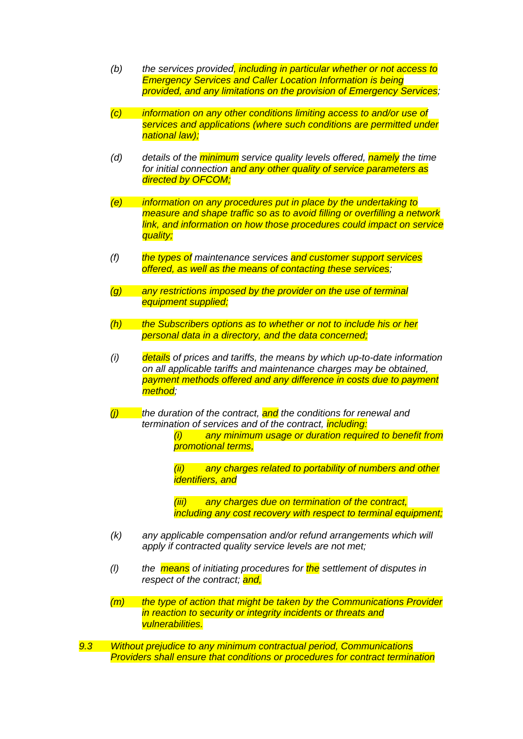- *(b) the services provided, including in particular whether or not access to Emergency Services and Caller Location Information is being provided, and any limitations on the provision of Emergency Services;*
- *(c) information on any other conditions limiting access to and/or use of services and applications (where such conditions are permitted under national law);*
- *(d) details of the minimum service quality levels offered, namely the time for initial connection and any other quality of service parameters as directed by OFCOM;*
- *(e) information on any procedures put in place by the undertaking to measure and shape traffic so as to avoid filling or overfilling a network link, and information on how those procedures could impact on service quality;*
- *(f) the types of maintenance services and customer support services offered, as well as the means of contacting these services;*
- *(g) any restrictions imposed by the provider on the use of terminal equipment supplied;*
- *(h) the Subscribers options as to whether or not to include his or her personal data in a directory, and the data concerned;*
- *(i) details of prices and tariffs, the means by which up-to-date information on all applicable tariffs and maintenance charges may be obtained, payment methods offered and any difference in costs due to payment method;*
- *(j) the duration of the contract, and the conditions for renewal and termination of services and of the contract, including:*
	- *(i) any minimum usage or duration required to benefit from promotional terms,*
	- *(ii) any charges related to portability of numbers and other identifiers, and*
	- *(iii) any charges due on termination of the contract, including any cost recovery with respect to terminal equipment;*
- *(k) any applicable compensation and/or refund arrangements which will apply if contracted quality service levels are not met;*
- *(l) the means of initiating procedures for the settlement of disputes in respect of the contract; and,*
- *(m) the type of action that might be taken by the Communications Provider in reaction to security or integrity incidents or threats and vulnerabilities.*
- *9.3 Without prejudice to any minimum contractual period, Communications Providers shall ensure that conditions or procedures for contract termination*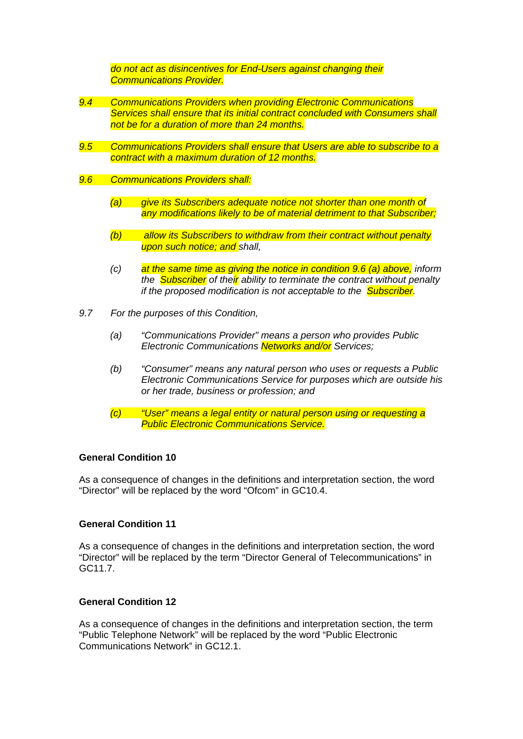*do not act as disincentives for End-Users against changing their Communications Provider.*

- *9.4 Communications Providers when providing Electronic Communications Services shall ensure that its initial contract concluded with Consumers shall not be for a duration of more than 24 months.*
- *9.5 Communications Providers shall ensure that Users are able to subscribe to a contract with a maximum duration of 12 months.*
- *9.6 Communications Providers shall:*
	- *(a) give its Subscribers adequate notice not shorter than one month of any modifications likely to be of material detriment to that Subscriber;*
	- *(b) allow its Subscribers to withdraw from their contract without penalty upon such notice; and shall,*
	- *(c) at the same time as giving the notice in condition 9.6 (a) above, inform the Subscriber of their ability to terminate the contract without penalty if the proposed modification is not acceptable to the Subscriber.*
- *9.7 For the purposes of this Condition,*
	- *(a) "Communications Provider" means a person who provides Public Electronic Communications Networks and/or Services;*
	- *(b) "Consumer" means any natural person who uses or requests a Public Electronic Communications Service for purposes which are outside his or her trade, business or profession; and*
	- *(c) "User" means a legal entity or natural person using or requesting a Public Electronic Communications Service.*

#### **General Condition 10**

As a consequence of changes in the definitions and interpretation section, the word "Director" will be replaced by the word "Ofcom" in GC10.4.

#### **General Condition 11**

As a consequence of changes in the definitions and interpretation section, the word "Director" will be replaced by the term "Director General of Telecommunications" in GC11.7.

# **General Condition 12**

As a consequence of changes in the definitions and interpretation section, the term "Public Telephone Network" will be replaced by the word "Public Electronic Communications Network" in GC12.1.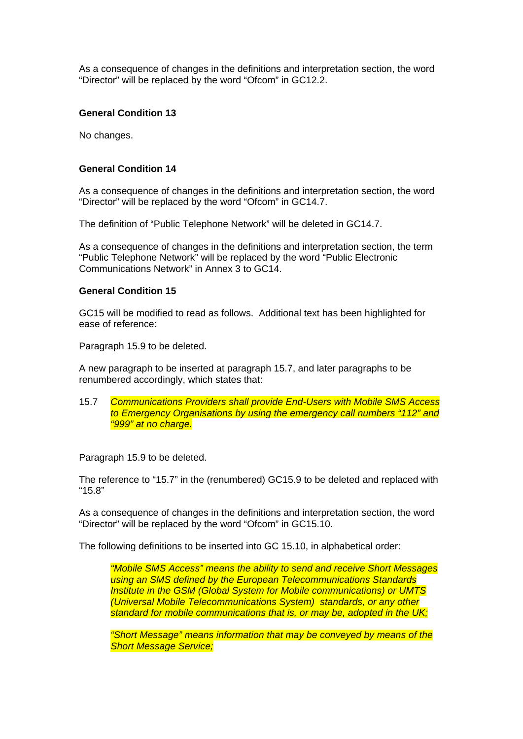As a consequence of changes in the definitions and interpretation section, the word "Director" will be replaced by the word "Ofcom" in GC12.2.

#### **General Condition 13**

No changes.

#### **General Condition 14**

As a consequence of changes in the definitions and interpretation section, the word "Director" will be replaced by the word "Ofcom" in GC14.7.

The definition of "Public Telephone Network" will be deleted in GC14.7.

As a consequence of changes in the definitions and interpretation section, the term "Public Telephone Network" will be replaced by the word "Public Electronic Communications Network" in Annex 3 to GC14.

#### **General Condition 15**

GC15 will be modified to read as follows. Additional text has been highlighted for ease of reference:

Paragraph 15.9 to be deleted.

A new paragraph to be inserted at paragraph 15.7, and later paragraphs to be renumbered accordingly, which states that:

15.7 *Communications Providers shall provide End-Users with Mobile SMS Access to Emergency Organisations by using the emergency call numbers "112" and "999" at no charge.*

Paragraph 15.9 to be deleted.

The reference to "15.7" in the (renumbered) GC15.9 to be deleted and replaced with "15.8"

As a consequence of changes in the definitions and interpretation section, the word "Director" will be replaced by the word "Ofcom" in GC15.10.

The following definitions to be inserted into GC 15.10, in alphabetical order:

*"Mobile SMS Access" means the ability to send and receive Short Messages using an SMS defined by the European Telecommunications Standards Institute in the GSM (Global System for Mobile communications) or UMTS (Universal Mobile Telecommunications System) standards, or any other standard for mobile communications that is, or may be, adopted in the UK;* 

*"Short Message" means information that may be conveyed by means of the Short Message Service;*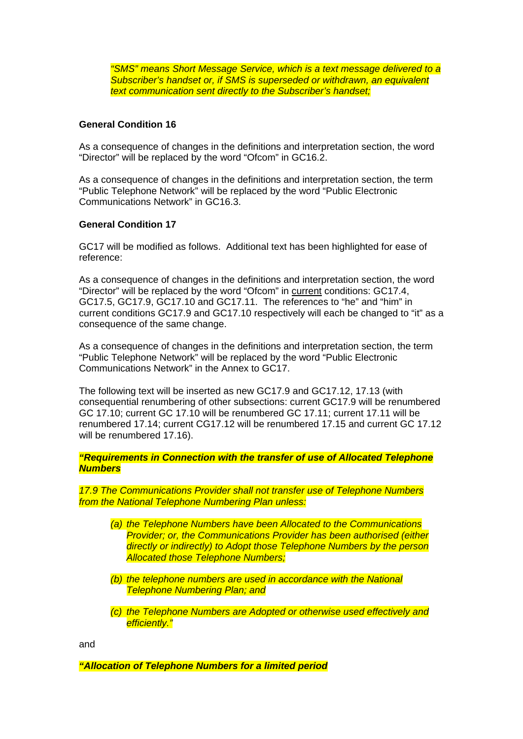*"SMS" means Short Message Service, which is a text message delivered to a Subscriber's handset or, if SMS is superseded or withdrawn, an equivalent text communication sent directly to the Subscriber's handset;*

### **General Condition 16**

As a consequence of changes in the definitions and interpretation section, the word "Director" will be replaced by the word "Ofcom" in GC16.2.

As a consequence of changes in the definitions and interpretation section, the term "Public Telephone Network" will be replaced by the word "Public Electronic Communications Network" in GC16.3.

#### **General Condition 17**

GC17 will be modified as follows. Additional text has been highlighted for ease of reference:

As a consequence of changes in the definitions and interpretation section, the word "Director" will be replaced by the word "Ofcom" in current conditions: GC17.4, GC17.5, GC17.9, GC17.10 and GC17.11. The references to "he" and "him" in current conditions GC17.9 and GC17.10 respectively will each be changed to "it" as a consequence of the same change.

As a consequence of changes in the definitions and interpretation section, the term "Public Telephone Network" will be replaced by the word "Public Electronic Communications Network" in the Annex to GC17.

The following text will be inserted as new GC17.9 and GC17.12, 17.13 (with consequential renumbering of other subsections: current GC17.9 will be renumbered GC 17.10; current GC 17.10 will be renumbered GC 17.11; current 17.11 will be renumbered 17.14; current CG17.12 will be renumbered 17.15 and current GC 17.12 will be renumbered 17.16).

*"Requirements in Connection with the transfer of use of Allocated Telephone Numbers*

*17.9 The Communications Provider shall not transfer use of Telephone Numbers from the National Telephone Numbering Plan unless:*

- *(a) the Telephone Numbers have been Allocated to the Communications Provider; or, the Communications Provider has been authorised (either directly or indirectly) to Adopt those Telephone Numbers by the person Allocated those Telephone Numbers;*
- *(b) the telephone numbers are used in accordance with the National Telephone Numbering Plan; and*
- *(c) the Telephone Numbers are Adopted or otherwise used effectively and efficiently."*

and

*"Allocation of Telephone Numbers for a limited period*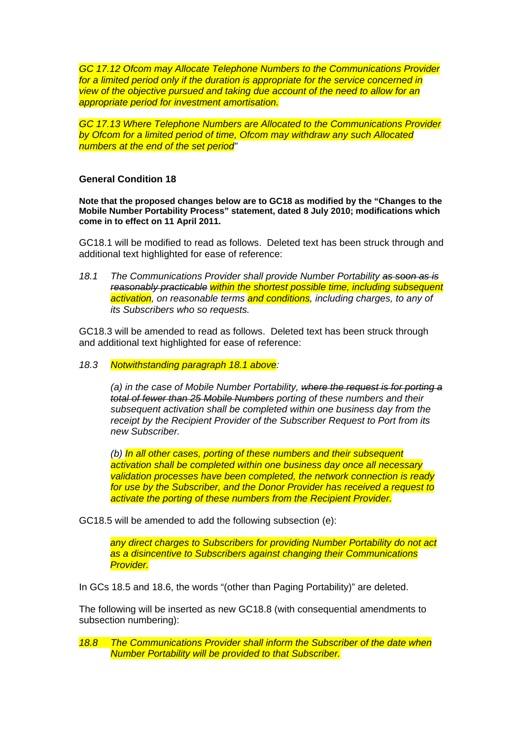*GC 17.12 Ofcom may Allocate Telephone Numbers to the Communications Provider for a limited period only if the duration is appropriate for the service concerned in view of the objective pursued and taking due account of the need to allow for an appropriate period for investment amortisation.* 

*GC 17.13 Where Telephone Numbers are Allocated to the Communications Provider by Ofcom for a limited period of time, Ofcom may withdraw any such Allocated numbers at the end of the set period"*

#### **General Condition 18**

**Note that the proposed changes below are to GC18 as modified by the "Changes to the Mobile Number Portability Process" statement, dated 8 July 2010; modifications which come in to effect on 11 April 2011.**

GC18.1 will be modified to read as follows. Deleted text has been struck through and additional text highlighted for ease of reference:

*18.1 The Communications Provider shall provide Number Portability as soon as is reasonably practicable within the shortest possible time, including subsequent activation*, on reasonable terms and conditions, including charges, to any of *its Subscribers who so requests.* 

GC18.3 will be amended to read as follows. Deleted text has been struck through and additional text highlighted for ease of reference:

*18.3 Notwithstanding paragraph 18.1 above:*

*(a) in the case of Mobile Number Portability, where the request is for porting a total of fewer than 25 Mobile Numbers porting of these numbers and their subsequent activation shall be completed within one business day from the receipt by the Recipient Provider of the Subscriber Request to Port from its new Subscriber.*

*(b) In all other cases, porting of these numbers and their subsequent activation shall be completed within one business day once all necessary validation processes have been completed, the network connection is ready for use by the Subscriber, and the Donor Provider has received a request to activate the porting of these numbers from the Recipient Provider.*

GC18.5 will be amended to add the following subsection (e):

*any direct charges to Subscribers for providing Number Portability do not act as a disincentive to Subscribers against changing their Communications Provider.* 

In GCs 18.5 and 18.6, the words "(other than Paging Portability)" are deleted.

The following will be inserted as new GC18.8 (with consequential amendments to subsection numbering):

*18.8 The Communications Provider shall inform the Subscriber of the date when Number Portability will be provided to that Subscriber.*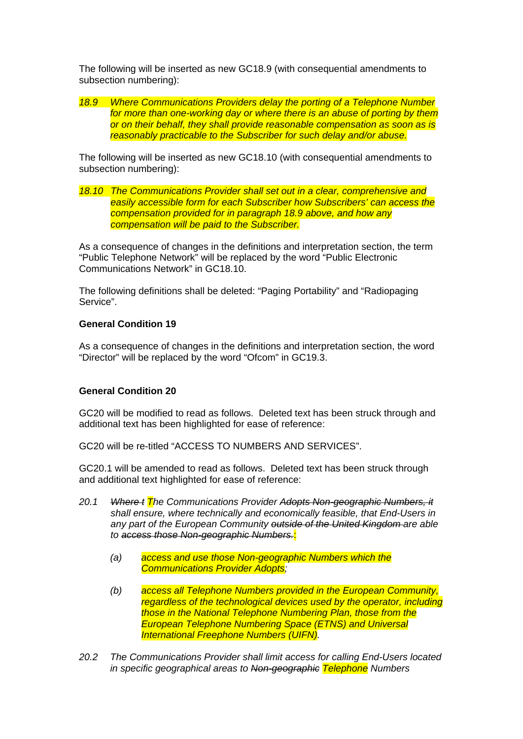The following will be inserted as new GC18.9 (with consequential amendments to subsection numbering):

*18.9 Where Communications Providers delay the porting of a Telephone Number for more than one-working day or where there is an abuse of porting by them or on their behalf, they shall provide reasonable compensation as soon as is reasonably practicable to the Subscriber for such delay and/or abuse.*

The following will be inserted as new GC18.10 (with consequential amendments to subsection numbering):

*18.10 The Communications Provider shall set out in a clear, comprehensive and easily accessible form for each Subscriber how Subscribers' can access the compensation provided for in paragraph 18.9 above, and how any compensation will be paid to the Subscriber.*

As a consequence of changes in the definitions and interpretation section, the term "Public Telephone Network" will be replaced by the word "Public Electronic Communications Network" in GC18.10.

The following definitions shall be deleted: "Paging Portability" and "Radiopaging Service".

#### **General Condition 19**

As a consequence of changes in the definitions and interpretation section, the word "Director" will be replaced by the word "Ofcom" in GC19.3.

#### **General Condition 20**

GC20 will be modified to read as follows. Deleted text has been struck through and additional text has been highlighted for ease of reference:

GC20 will be re-titled "ACCESS TO NUMBERS AND SERVICES".

GC20.1 will be amended to read as follows. Deleted text has been struck through and additional text highlighted for ease of reference:

- *20.1 Where t The Communications Provider Adopts Non-geographic Numbers, it shall ensure, where technically and economically feasible, that End-Users in any part of the European Community outside of the United Kingdom are able to access those Non-geographic Numbers.*:
	- *(a) access and use those Non-geographic Numbers which the Communications Provider Adopts;*
	- *(b) access all Telephone Numbers provided in the European Community, regardless of the technological devices used by the operator, including those in the National Telephone Numbering Plan, those from the European Telephone Numbering Space (ETNS) and Universal International Freephone Numbers (UIFN).*
- *20.2 The Communications Provider shall limit access for calling End-Users located in specific geographical areas to Non-geographic Telephone Numbers*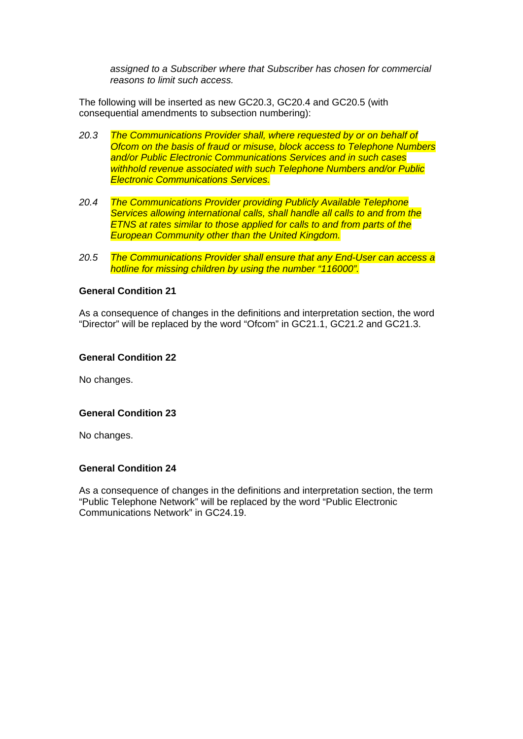*assigned to a Subscriber where that Subscriber has chosen for commercial reasons to limit such access.*

The following will be inserted as new GC20.3, GC20.4 and GC20.5 (with consequential amendments to subsection numbering):

- *20.3 The Communications Provider shall, where requested by or on behalf of Ofcom on the basis of fraud or misuse, block access to Telephone Numbers and/or Public Electronic Communications Services and in such cases withhold revenue associated with such Telephone Numbers and/or Public Electronic Communications Services.*
- *20.4 The Communications Provider providing Publicly Available Telephone Services allowing international calls, shall handle all calls to and from the ETNS at rates similar to those applied for calls to and from parts of the European Community other than the United Kingdom.*
- *20.5 The Communications Provider shall ensure that any End-User can access a hotline for missing children by using the number "116000".*

#### **General Condition 21**

As a consequence of changes in the definitions and interpretation section, the word "Director" will be replaced by the word "Ofcom" in GC21.1, GC21.2 and GC21.3.

#### **General Condition 22**

No changes.

# **General Condition 23**

No changes.

#### **General Condition 24**

As a consequence of changes in the definitions and interpretation section, the term "Public Telephone Network" will be replaced by the word "Public Electronic Communications Network" in GC24.19.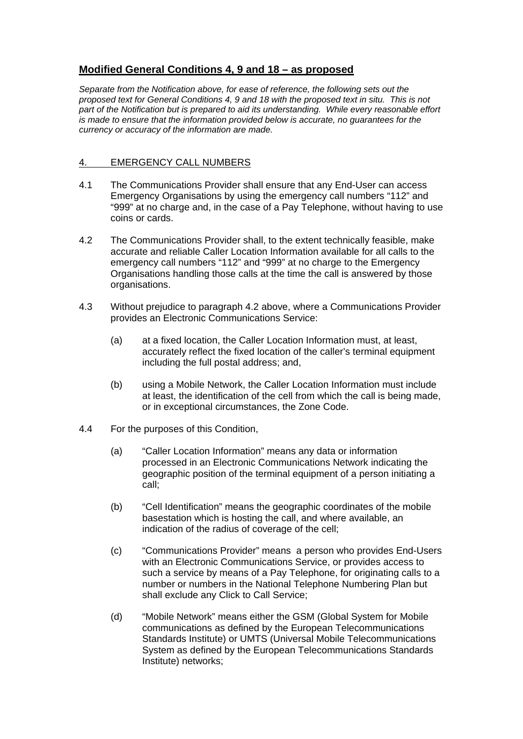# **Modified General Conditions 4, 9 and 18 – as proposed**

*Separate from the Notification above, for ease of reference, the following sets out the proposed text for General Conditions 4, 9 and 18 with the proposed text in situ. This is not part of the Notification but is prepared to aid its understanding. While every reasonable effort is made to ensure that the information provided below is accurate, no guarantees for the currency or accuracy of the information are made.*

#### 4. EMERGENCY CALL NUMBERS

- 4.1 The Communications Provider shall ensure that any End-User can access Emergency Organisations by using the emergency call numbers "112" and "999" at no charge and, in the case of a Pay Telephone, without having to use coins or cards.
- 4.2 The Communications Provider shall, to the extent technically feasible, make accurate and reliable Caller Location Information available for all calls to the emergency call numbers "112" and "999" at no charge to the Emergency Organisations handling those calls at the time the call is answered by those organisations.
- 4.3 Without prejudice to paragraph 4.2 above, where a Communications Provider provides an Electronic Communications Service:
	- (a) at a fixed location, the Caller Location Information must, at least, accurately reflect the fixed location of the caller's terminal equipment including the full postal address; and,
	- (b) using a Mobile Network, the Caller Location Information must include at least, the identification of the cell from which the call is being made, or in exceptional circumstances, the Zone Code.
- 4.4 For the purposes of this Condition,
	- (a) "Caller Location Information" means any data or information processed in an Electronic Communications Network indicating the geographic position of the terminal equipment of a person initiating a call;
	- (b) "Cell Identification" means the geographic coordinates of the mobile basestation which is hosting the call, and where available, an indication of the radius of coverage of the cell;
	- (c) "Communications Provider" means a person who provides End-Users with an Electronic Communications Service, or provides access to such a service by means of a Pay Telephone, for originating calls to a number or numbers in the National Telephone Numbering Plan but shall exclude any Click to Call Service;
	- (d) "Mobile Network" means either the GSM (Global System for Mobile communications as defined by the European Telecommunications Standards Institute) or UMTS (Universal Mobile Telecommunications System as defined by the European Telecommunications Standards Institute) networks;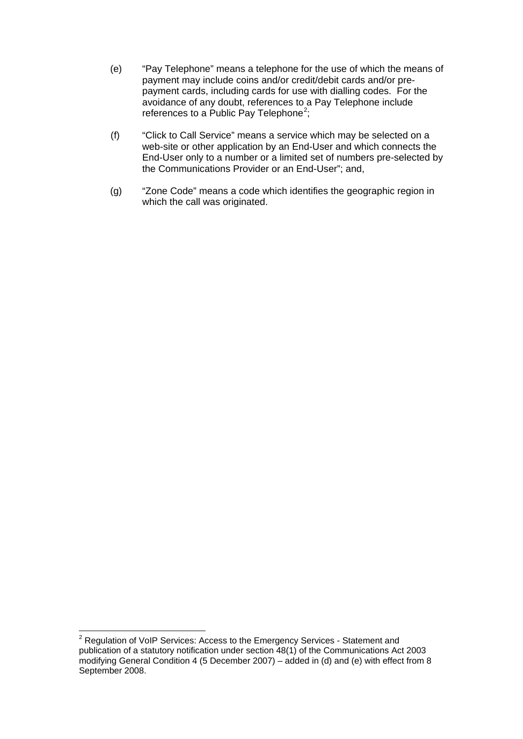- (e) "Pay Telephone" means a telephone for the use of which the means of payment may include coins and/or credit/debit cards and/or prepayment cards, including cards for use with dialling codes. For the avoidance of any doubt, references to a Pay Telephone include references to a Public Pay Telephone<sup>[2](#page-15-0)</sup>;
- (f) "Click to Call Service" means a service which may be selected on a web-site or other application by an End-User and which connects the End-User only to a number or a limited set of numbers pre-selected by the Communications Provider or an End-User"; and,
- (g) "Zone Code" means a code which identifies the geographic region in which the call was originated.

<span id="page-15-0"></span><sup>&</sup>lt;sup>2</sup> Regulation of VoIP Services: Access to the Emergency Services - Statement and publication of a statutory notification under section 48(1) of the Communications Act 2003 modifying General Condition 4 (5 December 2007) – added in (d) and (e) with effect from 8 September 2008.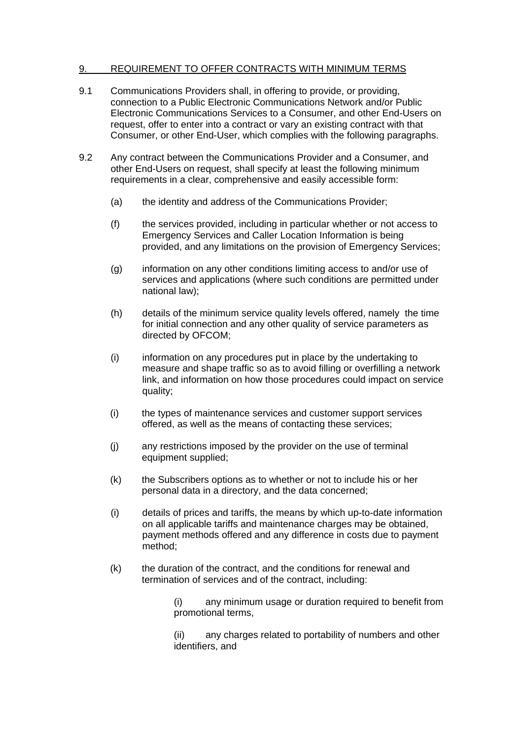### 9. REQUIREMENT TO OFFER CONTRACTS WITH MINIMUM TERMS

- 9.1 Communications Providers shall, in offering to provide, or providing, connection to a Public Electronic Communications Network and/or Public Electronic Communications Services to a Consumer, and other End-Users on request, offer to enter into a contract or vary an existing contract with that Consumer, or other End-User, which complies with the following paragraphs.
- 9.2 Any contract between the Communications Provider and a Consumer, and other End-Users on request, shall specify at least the following minimum requirements in a clear, comprehensive and easily accessible form:
	- (a) the identity and address of the Communications Provider;
	- (f) the services provided, including in particular whether or not access to Emergency Services and Caller Location Information is being provided, and any limitations on the provision of Emergency Services;
	- (g) information on any other conditions limiting access to and/or use of services and applications (where such conditions are permitted under national law);
	- (h) details of the minimum service quality levels offered, namely the time for initial connection and any other quality of service parameters as directed by OFCOM;
	- (i) information on any procedures put in place by the undertaking to measure and shape traffic so as to avoid filling or overfilling a network link, and information on how those procedures could impact on service quality;
	- (i) the types of maintenance services and customer support services offered, as well as the means of contacting these services;
	- (j) any restrictions imposed by the provider on the use of terminal equipment supplied;
	- (k) the Subscribers options as to whether or not to include his or her personal data in a directory, and the data concerned;
	- (i) details of prices and tariffs, the means by which up-to-date information on all applicable tariffs and maintenance charges may be obtained, payment methods offered and any difference in costs due to payment method;
	- (k) the duration of the contract, and the conditions for renewal and termination of services and of the contract, including:

(i) any minimum usage or duration required to benefit from promotional terms,

(ii) any charges related to portability of numbers and other identifiers, and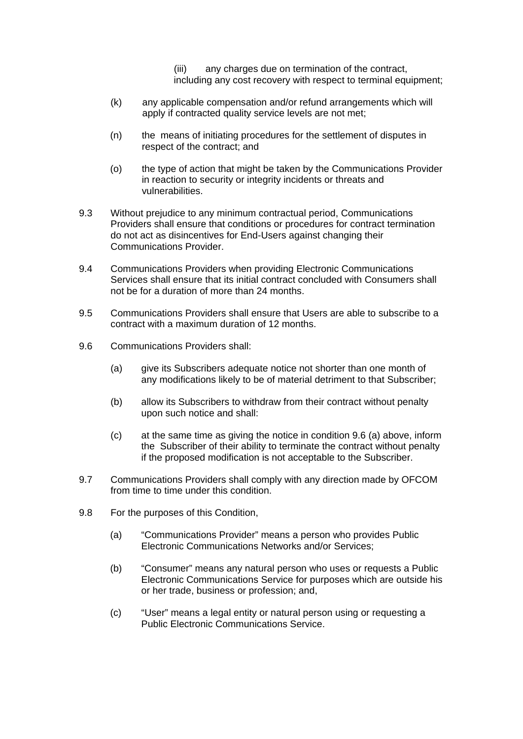(iii) any charges due on termination of the contract, including any cost recovery with respect to terminal equipment;

- (k) any applicable compensation and/or refund arrangements which will apply if contracted quality service levels are not met;
- (n) the means of initiating procedures for the settlement of disputes in respect of the contract; and
- (o) the type of action that might be taken by the Communications Provider in reaction to security or integrity incidents or threats and vulnerabilities.
- 9.3 Without prejudice to any minimum contractual period, Communications Providers shall ensure that conditions or procedures for contract termination do not act as disincentives for End-Users against changing their Communications Provider.
- 9.4 Communications Providers when providing Electronic Communications Services shall ensure that its initial contract concluded with Consumers shall not be for a duration of more than 24 months.
- 9.5 Communications Providers shall ensure that Users are able to subscribe to a contract with a maximum duration of 12 months.
- 9.6 Communications Providers shall:
	- (a) give its Subscribers adequate notice not shorter than one month of any modifications likely to be of material detriment to that Subscriber;
	- (b) allow its Subscribers to withdraw from their contract without penalty upon such notice and shall:
	- (c) at the same time as giving the notice in condition 9.6 (a) above, inform the Subscriber of their ability to terminate the contract without penalty if the proposed modification is not acceptable to the Subscriber.
- 9.7 Communications Providers shall comply with any direction made by OFCOM from time to time under this condition.
- 9.8 For the purposes of this Condition,
	- (a) "Communications Provider" means a person who provides Public Electronic Communications Networks and/or Services;
	- (b) "Consumer" means any natural person who uses or requests a Public Electronic Communications Service for purposes which are outside his or her trade, business or profession; and,
	- (c) "User" means a legal entity or natural person using or requesting a Public Electronic Communications Service.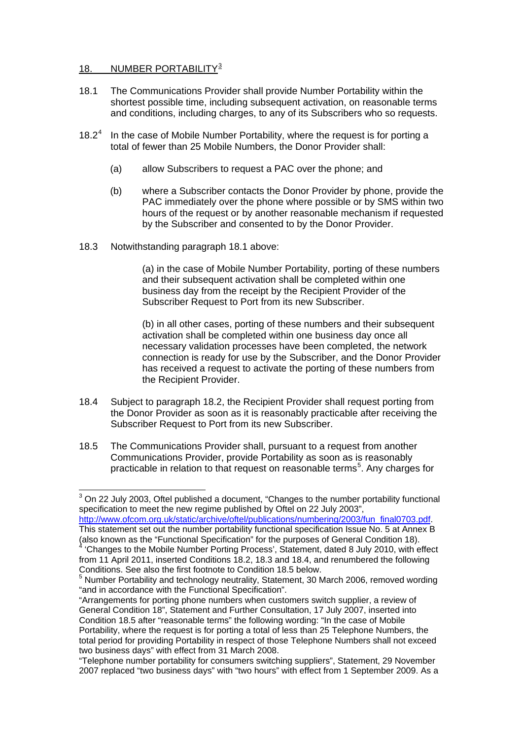# 18. NUMBER PORTABILITY<sup>[3](#page-18-0)</sup>

- 18.1 The Communications Provider shall provide Number Portability within the shortest possible time, including subsequent activation, on reasonable terms and conditions, including charges, to any of its Subscribers who so requests.
- 18.2 [4](#page-18-1) In the case of Mobile Number Portability, where the request is for porting a total of fewer than 25 Mobile Numbers, the Donor Provider shall:
	- (a) allow Subscribers to request a PAC over the phone; and
	- (b) where a Subscriber contacts the Donor Provider by phone, provide the PAC immediately over the phone where possible or by SMS within two hours of the request or by another reasonable mechanism if requested by the Subscriber and consented to by the Donor Provider.
- 18.3 Notwithstanding paragraph 18.1 above:

(a) in the case of Mobile Number Portability, porting of these numbers and their subsequent activation shall be completed within one business day from the receipt by the Recipient Provider of the Subscriber Request to Port from its new Subscriber.

(b) in all other cases, porting of these numbers and their subsequent activation shall be completed within one business day once all necessary validation processes have been completed, the network connection is ready for use by the Subscriber, and the Donor Provider has received a request to activate the porting of these numbers from the Recipient Provider.

- 18.4 Subject to paragraph 18.2, the Recipient Provider shall request porting from the Donor Provider as soon as it is reasonably practicable after receiving the Subscriber Request to Port from its new Subscriber.
- 18.5 The Communications Provider shall, pursuant to a request from another Communications Provider, provide Portability as soon as is reasonably practicable in relation to that request on reasonable terms [5](#page-18-2) . Any charges for

<span id="page-18-0"></span> $3$  On 22 July 2003, Oftel published a document, "Changes to the number portability functional specification to meet the new regime published by Oftel on 22 July 2003", [http://www.ofcom.org.uk/static/archive/oftel/publications/numbering/2003/fun\\_final0703.pdf.](http://www.ofcom.org.uk/static/archive/oftel/publications/numbering/2003/fun_final0703.pdf)

This statement set out the number portability functional specification Issue No. 5 at Annex B (also known as the "Functional Specification" for the purposes of General Condition 18).<br><sup>4</sup> 'Changes to the Mobile Number Porting Process', Statement, dated 8 July 2010, with effect

<span id="page-18-1"></span>from 11 April 2011, inserted Conditions 18.2, 18.3 and 18.4, and renumbered the following Conditions. See also the first footnote to Condition 18.5 below.

<span id="page-18-2"></span><sup>&</sup>lt;sup>5</sup> Number Portability and technology neutrality, Statement, 30 March 2006, removed wording "and in accordance with the Functional Specification".

<sup>&</sup>quot;Arrangements for porting phone numbers when customers switch supplier, a review of General Condition 18", Statement and Further Consultation, 17 July 2007, inserted into Condition 18.5 after "reasonable terms" the following wording: "In the case of Mobile Portability, where the request is for porting a total of less than 25 Telephone Numbers, the total period for providing Portability in respect of those Telephone Numbers shall not exceed two business days" with effect from 31 March 2008.

<sup>&</sup>quot;Telephone number portability for consumers switching suppliers", Statement, 29 November 2007 replaced "two business days" with "two hours" with effect from 1 September 2009. As a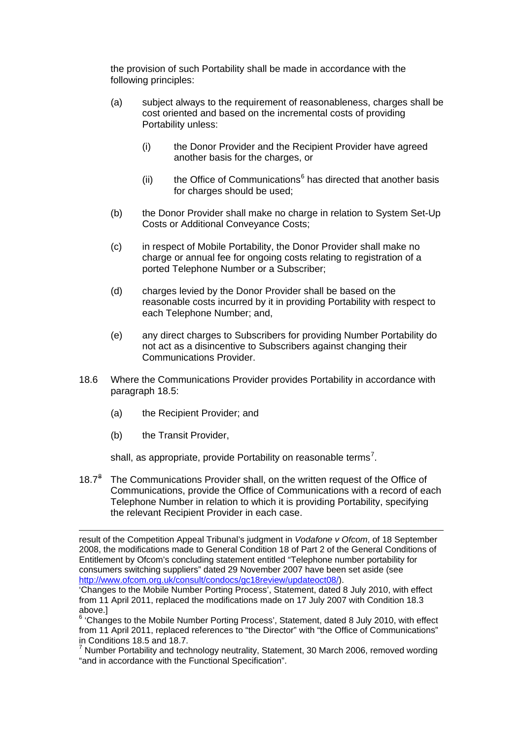the provision of such Portability shall be made in accordance with the following principles:

- (a) subject always to the requirement of reasonableness, charges shall be cost oriented and based on the incremental costs of providing Portability unless:
	- (i) the Donor Provider and the Recipient Provider have agreed another basis for the charges, or
	- (ii) the Office of Communications $<sup>6</sup>$  $<sup>6</sup>$  $<sup>6</sup>$  has directed that another basis</sup> for charges should be used;
- (b) the Donor Provider shall make no charge in relation to System Set-Up Costs or Additional Conveyance Costs;
- (c) in respect of Mobile Portability, the Donor Provider shall make no charge or annual fee for ongoing costs relating to registration of a ported Telephone Number or a Subscriber;
- (d) charges levied by the Donor Provider shall be based on the reasonable costs incurred by it in providing Portability with respect to each Telephone Number; and,
- (e) any direct charges to Subscribers for providing Number Portability do not act as a disincentive to Subscribers against changing their Communications Provider.
- 18.6 Where the Communications Provider provides Portability in accordance with paragraph 18.5:
	- (a) the Recipient Provider; and
	- (b) the Transit Provider,

shall, as appropriate, provide Portability on reasonable terms<sup>[7](#page-19-1)</sup>.

1[8](#page-19-2).7<sup>8</sup> The Communications Provider shall, on the written request of the Office of Communications, provide the Office of Communications with a record of each Telephone Number in relation to which it is providing Portability, specifying the relevant Recipient Provider in each case.

result of the Competition Appeal Tribunal's judgment in *Vodafone v Ofcom*, of 18 September 2008, the modifications made to General Condition 18 of Part 2 of the General Conditions of Entitlement by Ofcom's concluding statement entitled "Telephone number portability for consumers switching suppliers" dated 29 November 2007 have been set aside (see [http://www.ofcom.org.uk/consult/condocs/gc18review/updateoct08/\)](http://www.ofcom.org.uk/consult/condocs/gc18review/updateoct08/).

<sup>&#</sup>x27;Changes to the Mobile Number Porting Process', Statement, dated 8 July 2010, with effect from 11 April 2011, replaced the modifications made on 17 July 2007 with Condition 18.3 above.]

<span id="page-19-0"></span><sup>&</sup>lt;sup>6</sup> 'Changes to the Mobile Number Porting Process', Statement, dated 8 July 2010, with effect from 11 April 2011, replaced references to "the Director" with "the Office of Communications" in Conditions 18.5 and 18.7.

<span id="page-19-2"></span><span id="page-19-1"></span> $7$  Number Portability and technology neutrality, Statement, 30 March 2006, removed wording "and in accordance with the Functional Specification".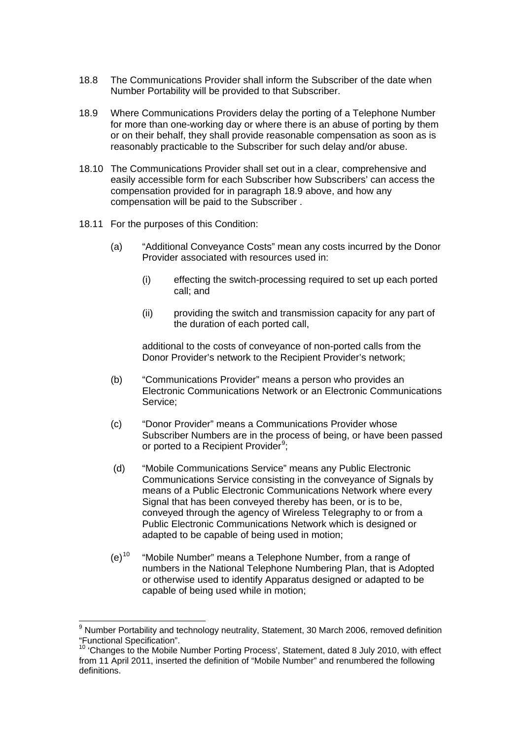- 18.8 The Communications Provider shall inform the Subscriber of the date when Number Portability will be provided to that Subscriber.
- 18.9 Where Communications Providers delay the porting of a Telephone Number for more than one-working day or where there is an abuse of porting by them or on their behalf, they shall provide reasonable compensation as soon as is reasonably practicable to the Subscriber for such delay and/or abuse.
- 18.10 The Communications Provider shall set out in a clear, comprehensive and easily accessible form for each Subscriber how Subscribers' can access the compensation provided for in paragraph 18.9 above, and how any compensation will be paid to the Subscriber .
- 18.11 For the purposes of this Condition:
	- (a) "Additional Conveyance Costs" mean any costs incurred by the Donor Provider associated with resources used in:
		- (i) effecting the switch-processing required to set up each ported call; and
		- (ii) providing the switch and transmission capacity for any part of the duration of each ported call,

additional to the costs of conveyance of non-ported calls from the Donor Provider's network to the Recipient Provider's network;

- (b) "Communications Provider" means a person who provides an Electronic Communications Network or an Electronic Communications Service;
- (c) "Donor Provider" means a Communications Provider whose Subscriber Numbers are in the process of being, or have been passed or ported to a Recipient Provider<sup>[9](#page-20-0)</sup>;
- (d) "Mobile Communications Service" means any Public Electronic Communications Service consisting in the conveyance of Signals by means of a Public Electronic Communications Network where every Signal that has been conveyed thereby has been, or is to be, conveyed through the agency of Wireless Telegraphy to or from a Public Electronic Communications Network which is designed or adapted to be capable of being used in motion;
- $(e)^{10}$  $(e)^{10}$  $(e)^{10}$ "Mobile Number" means a Telephone Number, from a range of numbers in the National Telephone Numbering Plan, that is Adopted or otherwise used to identify Apparatus designed or adapted to be capable of being used while in motion;

<span id="page-20-0"></span><sup>&</sup>lt;sup>9</sup> Number Portability and technology neutrality, Statement, 30 March 2006, removed definition "Functional Specification".

<span id="page-20-1"></span><sup>&</sup>lt;sup>10</sup> 'Changes to the Mobile Number Porting Process', Statement, dated 8 July 2010, with effect from 11 April 2011, inserted the definition of "Mobile Number" and renumbered the following definitions.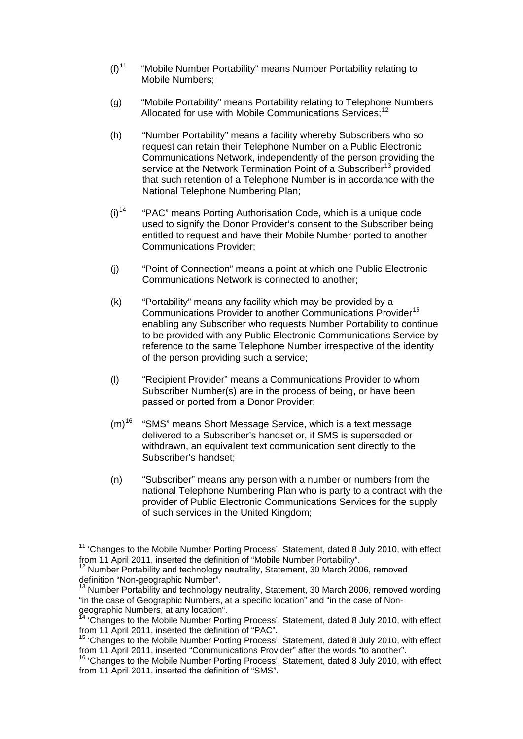- $(f)^{11}$  $(f)^{11}$  $(f)^{11}$ "Mobile Number Portability" means Number Portability relating to Mobile Numbers;
- (g) "Mobile Portability" means Portability relating to Telephone Numbers Allocated for use with Mobile Communications Services;<sup>[12](#page-21-1)</sup>
- (h) "Number Portability" means a facility whereby Subscribers who so request can retain their Telephone Number on a Public Electronic Communications Network, independently of the person providing the service at the Network Termination Point of a Subscriber<sup>[13](#page-21-2)</sup> provided that such retention of a Telephone Number is in accordance with the National Telephone Numbering Plan;
- $(i)$ <sup>[14](#page-21-3)</sup> "PAC" means Porting Authorisation Code, which is a unique code used to signify the Donor Provider's consent to the Subscriber being entitled to request and have their Mobile Number ported to another Communications Provider;
- (j) "Point of Connection" means a point at which one Public Electronic Communications Network is connected to another;
- (k) "Portability" means any facility which may be provided by a Communications Provider to another Communications Provider [15](#page-21-4) enabling any Subscriber who requests Number Portability to continue to be provided with any Public Electronic Communications Service by reference to the same Telephone Number irrespective of the identity of the person providing such a service;
- (l) "Recipient Provider" means a Communications Provider to whom Subscriber Number(s) are in the process of being, or have been passed or ported from a Donor Provider;
- $(m)^{16}$  $(m)^{16}$  $(m)^{16}$ "SMS" means Short Message Service, which is a text message delivered to a Subscriber's handset or, if SMS is superseded or withdrawn, an equivalent text communication sent directly to the Subscriber's handset;
- (n) "Subscriber" means any person with a number or numbers from the national Telephone Numbering Plan who is party to a contract with the provider of Public Electronic Communications Services for the supply of such services in the United Kingdom;

<span id="page-21-0"></span><sup>&</sup>lt;sup>11</sup> 'Changes to the Mobile Number Porting Process', Statement, dated 8 July 2010, with effect from 11 April 2011, inserted the definition of "Mobile Number Portability".

<span id="page-21-1"></span> $12$  Number Portability and technology neutrality, Statement, 30 March 2006, removed definition "Non-geographic Number".

<span id="page-21-2"></span> $13$  Number Portability and technology neutrality, Statement, 30 March 2006, removed wording "in the case of Geographic Numbers, at a specific location" and "in the case of Nongeographic Numbers, at any location".

<span id="page-21-3"></span><sup>&</sup>lt;sup>14</sup> 'Changes to the Mobile Number Porting Process', Statement, dated 8 July 2010, with effect from 11 April 2011, inserted the definition of "PAC".

<span id="page-21-4"></span><sup>&</sup>lt;sup>15</sup> 'Changes to the Mobile Number Porting Process', Statement, dated 8 July 2010, with effect from 11 April 2011, inserted "Communications Provider" after the words "to another". 16 'Changes to the Mobile Number Porting Process', Statement, dated 8 July 2010, with effect

<span id="page-21-5"></span>from 11 April 2011, inserted the definition of "SMS".